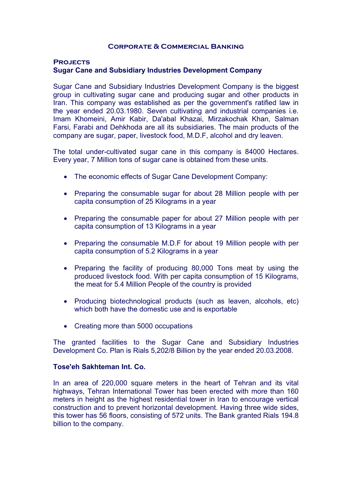#### **Corporate & Commercial Banking**

#### **Projects**

# **Sugar Cane and Subsidiary Industries Development Company**

Sugar Cane and Subsidiary Industries Development Company is the biggest group in cultivating sugar cane and producing sugar and other products in Iran. This company was established as per the government's ratified law in the year ended 20.03.1980. Seven cultivating and industrial companies i.e. Imam Khomeini, Amir Kabir, Da'abal Khazai, Mirzakochak Khan, Salman Farsi, Farabi and Dehkhoda are all its subsidiaries. The main products of the company are sugar, paper, livestock food, M.D.F, alcohol and dry leaven.

The total under-cultivated sugar cane in this company is 84000 Hectares. Every year, 7 Million tons of sugar cane is obtained from these units.

- The economic effects of Sugar Cane Development Company:
- Preparing the consumable sugar for about 28 Million people with per capita consumption of 25 Kilograms in a year
- Preparing the consumable paper for about 27 Million people with per capita consumption of 13 Kilograms in a year
- Preparing the consumable M.D.F for about 19 Million people with per capita consumption of 5.2 Kilograms in a year
- Preparing the facility of producing 80,000 Tons meat by using the produced livestock food. With per capita consumption of 15 Kilograms, the meat for 5.4 Million People of the country is provided
- Producing biotechnological products (such as leaven, alcohols, etc) which both have the domestic use and is exportable
- Creating more than 5000 occupations

The granted facilities to the Sugar Cane and Subsidiary Industries Development Co. Plan is Rials 5,202/8 Billion by the year ended 20.03.2008.

### **Tose'eh Sakhteman Int. Co.**

In an area of 220,000 square meters in the heart of Tehran and its vital highways, Tehran International Tower has been erected with more than 160 meters in height as the highest residential tower in Iran to encourage vertical construction and to prevent horizontal development. Having three wide sides, this tower has 56 floors, consisting of 572 units. The Bank granted Rials 194.8 billion to the company.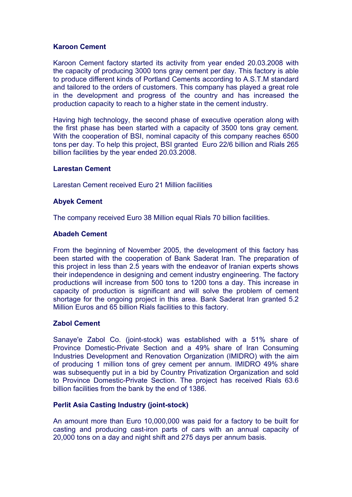# **Karoon Cement**

Karoon Cement factory started its activity from year ended 20.03.2008 with the capacity of producing 3000 tons gray cement per day. This factory is able to produce different kinds of Portland Cements according to A.S.T.M standard and tailored to the orders of customers. This company has played a great role in the development and progress of the country and has increased the production capacity to reach to a higher state in the cement industry.

Having high technology, the second phase of executive operation along with the first phase has been started with a capacity of 3500 tons gray cement. With the cooperation of BSI, nominal capacity of this company reaches 6500 tons per day. To help this project, BSI granted Euro 22/6 billion and Rials 265 billion facilities by the year ended 20.03.2008.

### **Larestan Cement**

Larestan Cement received Euro 21 Million facilities

#### **Abyek Cement**

The company received Euro 38 Million equal Rials 70 billion facilities.

#### **Abadeh Cement**

From the beginning of November 2005, the development of this factory has been started with the cooperation of Bank Saderat Iran. The preparation of this project in less than 2.5 years with the endeavor of Iranian experts shows their independence in designing and cement industry engineering. The factory productions will increase from 500 tons to 1200 tons a day. This increase in capacity of production is significant and will solve the problem of cement shortage for the ongoing project in this area. Bank Saderat Iran granted 5.2 Million Euros and 65 billion Rials facilities to this factory.

### **Zabol Cement**

Sanaye'e Zabol Co. (joint-stock) was established with a 51% share of Province Domestic-Private Section and a 49% share of Iran Consuming Industries Development and Renovation Organization (IMIDRO) with the aim of producing 1 million tons of grey cement per annum. IMIDRO 49% share was subsequently put in a bid by Country Privatization Organization and sold to Province Domestic-Private Section. The project has received Rials 63.6 billion facilities from the bank by the end of 1386.

### **Perlit Asia Casting Industry (joint-stock)**

An amount more than Euro 10,000,000 was paid for a factory to be built for casting and producing cast-iron parts of cars with an annual capacity of 20,000 tons on a day and night shift and 275 days per annum basis.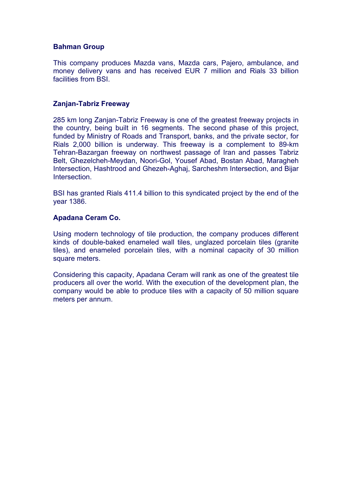# **Bahman Group**

This company produces Mazda vans, Mazda cars, Pajero, ambulance, and money delivery vans and has received EUR 7 million and Rials 33 billion facilities from BSI.

## **Zanjan-Tabriz Freeway**

285 km long Zanjan-Tabriz Freeway is one of the greatest freeway projects in the country, being built in 16 segments. The second phase of this project, funded by Ministry of Roads and Transport, banks, and the private sector, for Rials 2,000 billion is underway. This freeway is a complement to 89-km Tehran-Bazargan freeway on northwest passage of Iran and passes Tabriz Belt, Ghezelcheh-Meydan, Noori-Gol, Yousef Abad, Bostan Abad, Maragheh Intersection, Hashtrood and Ghezeh-Aghaj, Sarcheshm Intersection, and Bijar Intersection.

BSI has granted Rials 411.4 billion to this syndicated project by the end of the year 1386.

## **Apadana Ceram Co.**

Using modern technology of tile production, the company produces different kinds of double-baked enameled wall tiles, unglazed porcelain tiles (granite tiles), and enameled porcelain tiles, with a nominal capacity of 30 million square meters.

Considering this capacity, Apadana Ceram will rank as one of the greatest tile producers all over the world. With the execution of the development plan, the company would be able to produce tiles with a capacity of 50 million square meters per annum.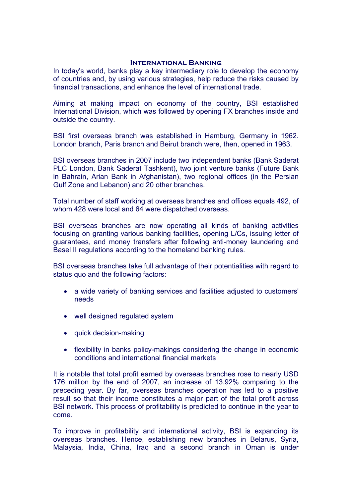#### **International Banking**

In today's world, banks play a key intermediary role to develop the economy of countries and, by using various strategies, help reduce the risks caused by financial transactions, and enhance the level of international trade.

Aiming at making impact on economy of the country, BSI established International Division, which was followed by opening FX branches inside and outside the country.

BSI first overseas branch was established in Hamburg, Germany in 1962. London branch, Paris branch and Beirut branch were, then, opened in 1963.

BSI overseas branches in 2007 include two independent banks (Bank Saderat PLC London, Bank Saderat Tashkent), two joint venture banks (Future Bank in Bahrain, Arian Bank in Afghanistan), two regional offices (in the Persian Gulf Zone and Lebanon) and 20 other branches.

Total number of staff working at overseas branches and offices equals 492, of whom 428 were local and 64 were dispatched overseas.

BSI overseas branches are now operating all kinds of banking activities focusing on granting various banking facilities, opening L/Cs, issuing letter of guarantees, and money transfers after following anti-money laundering and Basel II regulations according to the homeland banking rules.

BSI overseas branches take full advantage of their potentialities with regard to status quo and the following factors:

- a wide variety of banking services and facilities adjusted to customers' needs
- well designed regulated system
- quick decision-making
- flexibility in banks policy-makings considering the change in economic conditions and international financial markets

It is notable that total profit earned by overseas branches rose to nearly USD 176 million by the end of 2007, an increase of 13.92% comparing to the preceding year. By far, overseas branches operation has led to a positive result so that their income constitutes a major part of the total profit across BSI network. This process of profitability is predicted to continue in the year to come.

To improve in profitability and international activity, BSI is expanding its overseas branches. Hence, establishing new branches in Belarus, Syria, Malaysia, India, China, Iraq and a second branch in Oman is under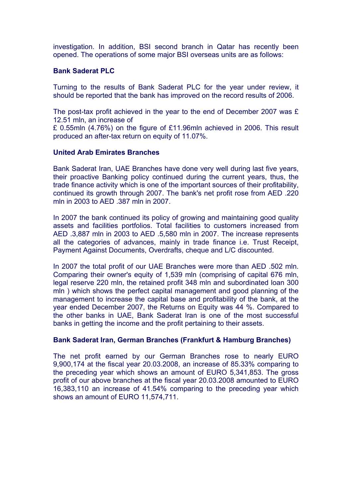investigation. In addition, BSI second branch in Qatar has recently been opened. The operations of some major BSI overseas units are as follows:

## **Bank Saderat PLC**

Turning to the results of Bank Saderat PLC for the year under review, it should be reported that the bank has improved on the record results of 2006.

The post-tax profit achieved in the year to the end of December 2007 was £ 12.51 mln, an increase of

£ 0.55mln (4.76%) on the figure of £11.96mln achieved in 2006. This result produced an after-tax return on equity of 11.07%.

### **United Arab Emirates Branches**

Bank Saderat Iran, UAE Branches have done very well during last five years, their proactive Banking policy continued during the current years, thus, the trade finance activity which is one of the important sources of their profitability, continued its growth through 2007. The bank's net profit rose from AED .220 mln in 2003 to AED .387 mln in 2007.

In 2007 the bank continued its policy of growing and maintaining good quality assets and facilities portfolios. Total facilities to customers increased from AED .3,887 mln in 2003 to AED .5,580 mln in 2007. The increase represents all the categories of advances, mainly in trade finance i.e. Trust Receipt, Payment Against Documents, Overdrafts, cheque and L/C discounted.

In 2007 the total profit of our UAE Branches were more than AED .502 mln. Comparing their owner's equity of 1,539 mln (comprising of capital 676 mln, legal reserve 220 mln, the retained profit 348 mln and subordinated loan 300 mln ) which shows the perfect capital management and good planning of the management to increase the capital base and profitability of the bank, at the year ended December 2007, the Returns on Equity was 44 %. Compared to the other banks in UAE, Bank Saderat Iran is one of the most successful banks in getting the income and the profit pertaining to their assets.

# **Bank Saderat Iran, German Branches (Frankfurt & Hamburg Branches)**

The net profit earned by our German Branches rose to nearly EURO 9,900,174 at the fiscal year 20.03.2008, an increase of 85.33% comparing to the preceding year which shows an amount of EURO 5,341,853. The gross profit of our above branches at the fiscal year 20.03.2008 amounted to EURO 16,383,110 an increase of 41.54% comparing to the preceding year which shows an amount of EURO 11,574,711.